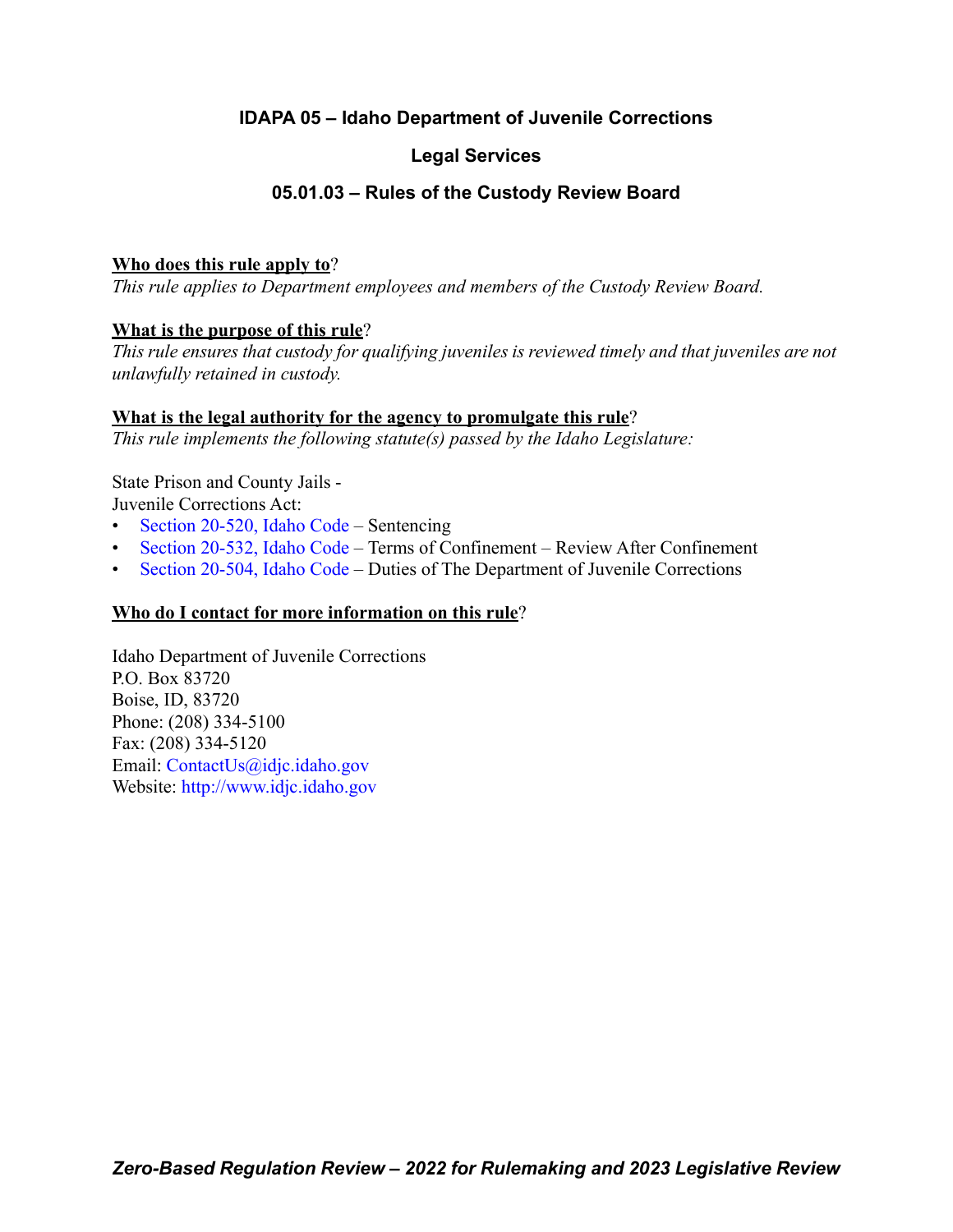# **IDAPA 05 – Idaho Department of Juvenile Corrections**

# **Legal Services**

# **05.01.03 – Rules of the Custody Review Board**

## **Who does this rule apply to**?

*This rule applies to Department employees and members of the Custody Review Board.*

# **What is the purpose of this rule**?

*This rule ensures that custody for qualifying juveniles is reviewed timely and that juveniles are not unlawfully retained in custody.*

## **What is the legal authority for the agency to promulgate this rule**?

*This rule implements the following statute(s) passed by the Idaho Legislature:*

State Prison and County Jails - Juvenile Corrections Act:

- [Section 20-520, Idaho Code](https://legislature.idaho.gov/statutesrules/idstat/Title20/T20CH5/SECT20-520/)  Sentencing
- [Section 20-532, Idaho Code](https://legislature.idaho.gov/statutesrules/idstat/Title20/T20CH5/SECT20-532/)  Terms of Confinement Review After Confinement
- [Section 20-504, Idaho Code](https://legislature.idaho.gov/statutesrules/idstat/Title20/T20CH5/SECT20-504/)  Duties of The Department of Juvenile Corrections

# **Who do I contact for more information on this rule**?

Idaho Department of Juvenile Corrections P.O. Box 83720 Boise, ID, 83720 Phone: (208) 334-5100 Fax: (208) 334-5120 Email: <ContactUs@idjc.idaho.gov> Website: <http://www.idjc.idaho.gov>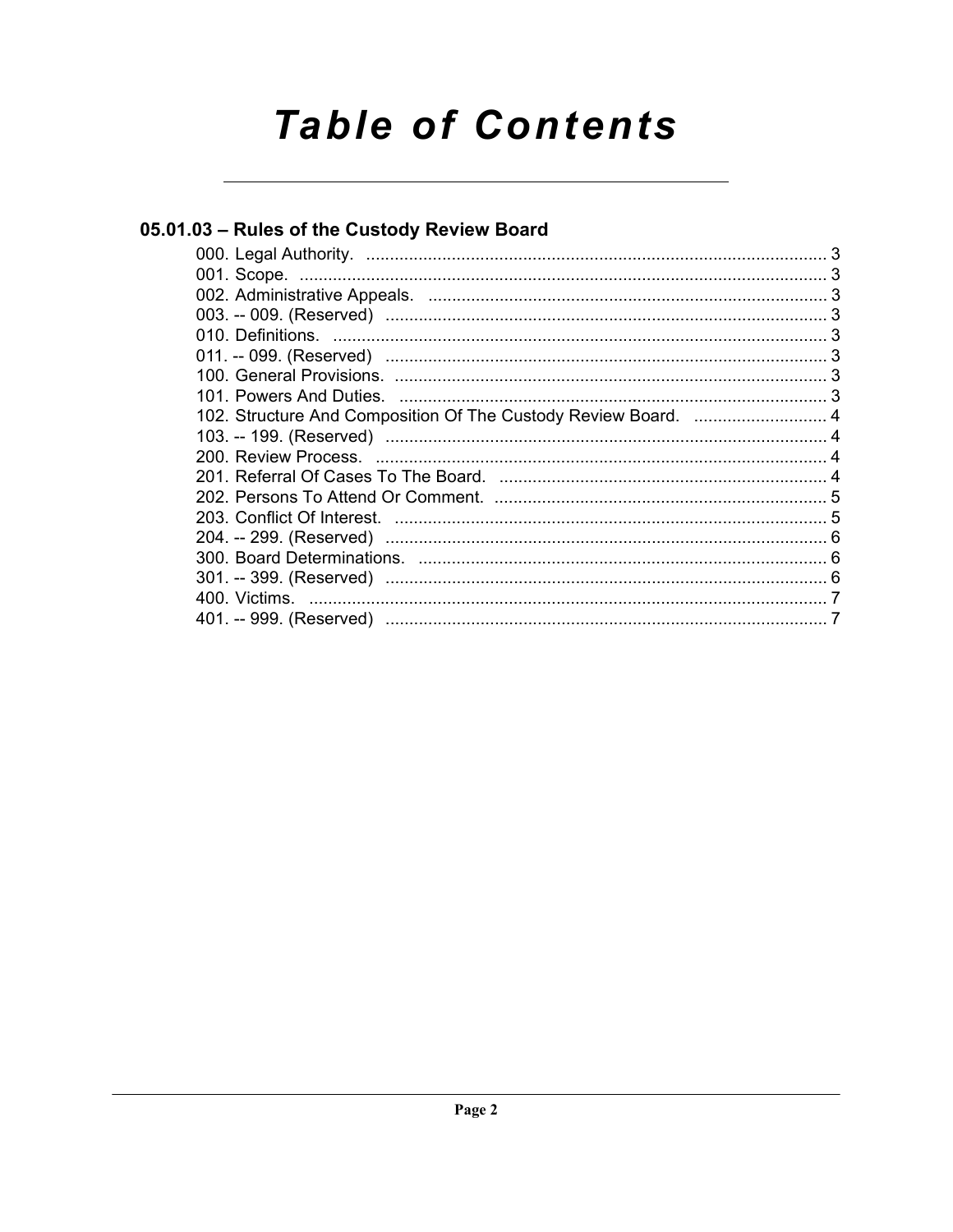# **Table of Contents**

# 05.01.03 - Rules of the Custody Review Board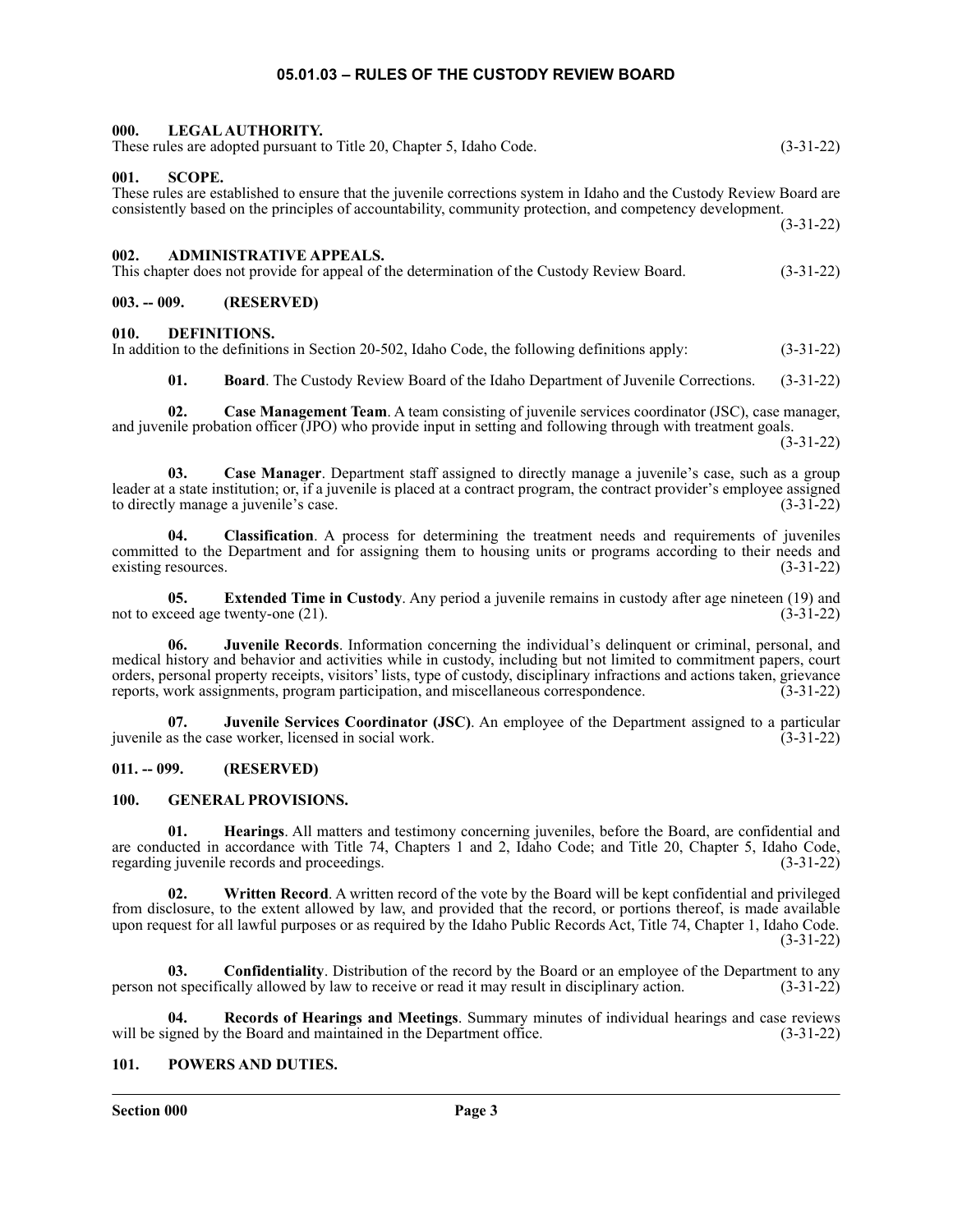## **05.01.03 – RULES OF THE CUSTODY REVIEW BOARD**

<span id="page-2-3"></span><span id="page-2-2"></span><span id="page-2-1"></span><span id="page-2-0"></span>

| 000.<br>LEGAL AUTHORITY.<br>These rules are adopted pursuant to Title 20, Chapter 5, Idaho Code.                                                                                                                                                           | $(3-31-22)$ |
|------------------------------------------------------------------------------------------------------------------------------------------------------------------------------------------------------------------------------------------------------------|-------------|
| 001.<br><b>SCOPE.</b><br>These rules are established to ensure that the juvenile corrections system in Idaho and the Custody Review Board are<br>consistently based on the principles of accountability, community protection, and competency development. | $(3-31-22)$ |
| 002.<br><b>ADMINISTRATIVE APPEALS.</b><br>This chapter does not provide for appeal of the determination of the Custody Review Board.                                                                                                                       | $(3-31-22)$ |
| $003. - 009.$<br>(RESERVED)                                                                                                                                                                                                                                |             |
| 010.<br>DEFINITIONS.<br>In addition to the definitions in Section 20-502, Idaho Code, the following definitions apply:                                                                                                                                     | $(3-31-22)$ |

<span id="page-2-5"></span><span id="page-2-4"></span>**01. Board**. The Custody Review Board of the Idaho Department of Juvenile Corrections. (3-31-22)

**02. Case Management Team**. A team consisting of juvenile services coordinator (JSC), case manager, and juvenile probation officer (JPO) who provide input in setting and following through with treatment goals.

(3-31-22)

**03. Case Manager**. Department staff assigned to directly manage a juvenile's case, such as a group leader at a state institution; or, if a juvenile is placed at a contract program, the contract provider's employee assigned to directly manage a juvenile's case. (3-31-22)

**04. Classification**. A process for determining the treatment needs and requirements of juveniles committed to the Department and for assigning them to housing units or programs according to their needs and existing resources. (3-31-22)

**05. Extended Time in Custody**. Any period a juvenile remains in custody after age nineteen (19) and ceed age twenty-one (21). not to exceed age twenty-one (21).

**06. Juvenile Records**. Information concerning the individual's delinquent or criminal, personal, and medical history and behavior and activities while in custody, including but not limited to commitment papers, court orders, personal property receipts, visitors' lists, type of custody, disciplinary infractions and actions taken, grievance reports, work assignments, program participation, and miscellaneous correspondence.

**07. Juvenile Services Coordinator (JSC)**. An employee of the Department assigned to a particular juvenile as the case worker, licensed in social work. (3-31-22)

#### <span id="page-2-6"></span>**011. -- 099. (RESERVED)**

#### <span id="page-2-7"></span>**100. GENERAL PROVISIONS.**

**01. Hearings**. All matters and testimony concerning juveniles, before the Board, are confidential and are conducted in accordance with Title 74, Chapters 1 and 2, Idaho Code; and Title 20, Chapter 5, Idaho Code, regarding juvenile records and proceedings. (3-31-22)

**02. Written Record**. A written record of the vote by the Board will be kept confidential and privileged from disclosure, to the extent allowed by law, and provided that the record, or portions thereof, is made available upon request for all lawful purposes or as required by the Idaho Public Records Act, Title 74, Chapter 1, Idaho Code. (3-31-22)

**03. Confidentiality**. Distribution of the record by the Board or an employee of the Department to any of specifically allowed by law to receive or read it may result in disciplinary action. (3-31-22) person not specifically allowed by law to receive or read it may result in disciplinary action.

**04. Records of Hearings and Meetings**. Summary minutes of individual hearings and case reviews will be signed by the Board and maintained in the Department office. (3-31-22)

## <span id="page-2-8"></span>**101. POWERS AND DUTIES.**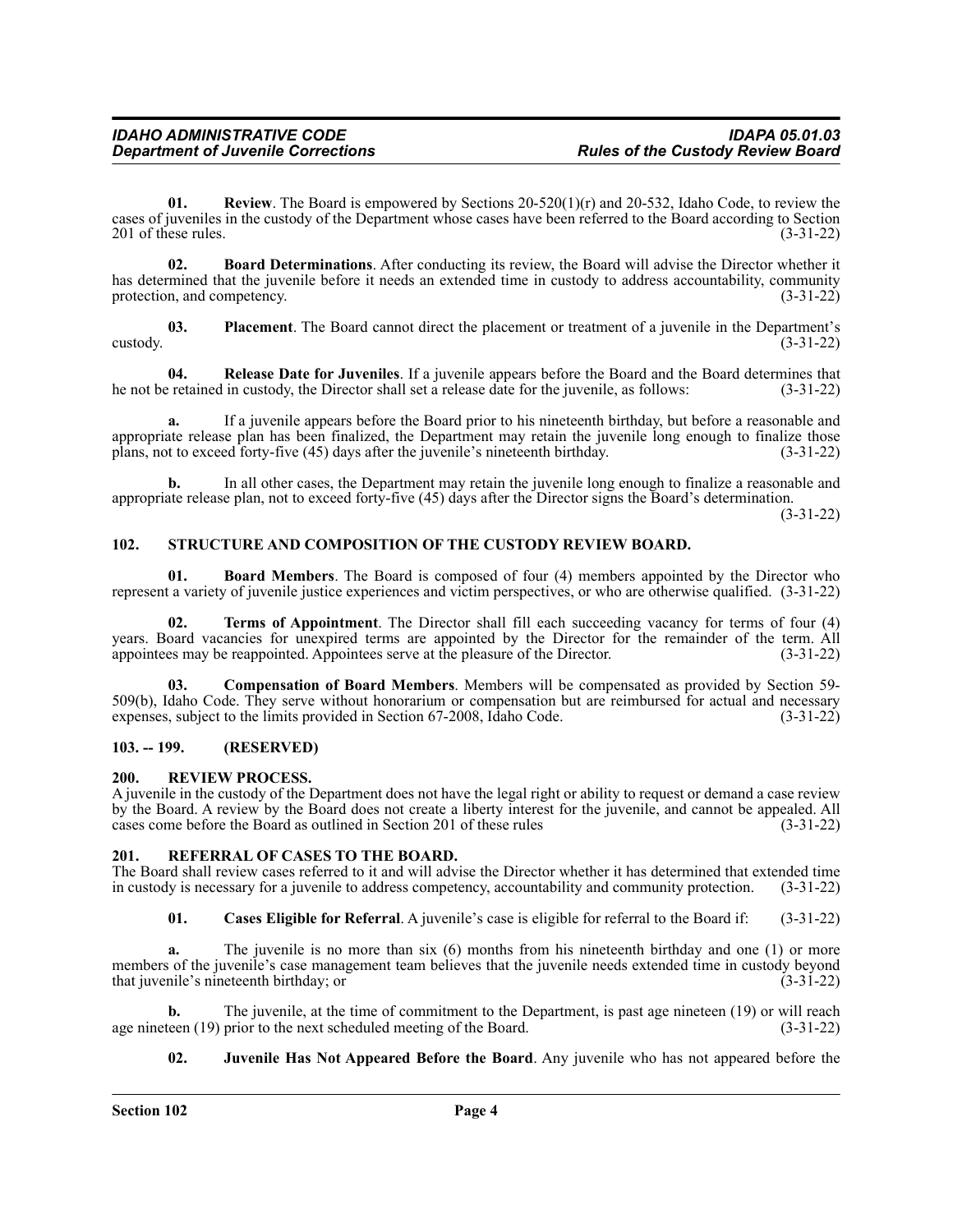**01.** Review. The Board is empowered by Sections 20-520(1)(r) and 20-532, Idaho Code, to review the cases of juveniles in the custody of the Department whose cases have been referred to the Board according to Section 201 of these rules. (3-31-22) 201 of these rules.

**02. Board Determinations**. After conducting its review, the Board will advise the Director whether it has determined that the juvenile before it needs an extended time in custody to address accountability, community protection, and competency. (3-31-22)

**03. Placement**. The Board cannot direct the placement or treatment of a juvenile in the Department's  $\left(3\text{-}31\text{-}22\right)$ 

**04. Release Date for Juveniles**. If a juvenile appears before the Board and the Board determines that he not be retained in custody, the Director shall set a release date for the juvenile, as follows: (3-31-22)

**a.** If a juvenile appears before the Board prior to his nineteenth birthday, but before a reasonable and appropriate release plan has been finalized, the Department may retain the juvenile long enough to finalize those plans, not to exceed forty-five (45) days after the juvenile's nineteenth birthday. (3-31-22)

**b.** In all other cases, the Department may retain the juvenile long enough to finalize a reasonable and appropriate release plan, not to exceed forty-five (45) days after the Director signs the Board's determination.

(3-31-22)

## <span id="page-3-0"></span>**102. STRUCTURE AND COMPOSITION OF THE CUSTODY REVIEW BOARD.**

**01. Board Members**. The Board is composed of four (4) members appointed by the Director who represent a variety of juvenile justice experiences and victim perspectives, or who are otherwise qualified. (3-31-22)

**02. Terms of Appointment**. The Director shall fill each succeeding vacancy for terms of four (4) years. Board vacancies for unexpired terms are appointed by the Director for the remainder of the term. All appointees may be reappointed. Appointees serve at the pleasure of the Director. (3-31-22) appointees may be reappointed. Appointees serve at the pleasure of the Director.

**03. Compensation of Board Members**. Members will be compensated as provided by Section 59- 509(b), Idaho Code. They serve without honorarium or compensation but are reimbursed for actual and necessary expenses, subject to the limits provided in Section 67-2008, Idaho Code. (3-31-22) expenses, subject to the limits provided in Section 67-2008, Idaho Code.

## <span id="page-3-1"></span>**103. -- 199. (RESERVED)**

#### <span id="page-3-2"></span>**200. REVIEW PROCESS.**

A juvenile in the custody of the Department does not have the legal right or ability to request or demand a case review by the Board. A review by the Board does not create a liberty interest for the juvenile, and cannot be appealed. All cases come before the Board as outlined in Section 201 of these rules (3-31-22)

## <span id="page-3-3"></span>**201. REFERRAL OF CASES TO THE BOARD.**

The Board shall review cases referred to it and will advise the Director whether it has determined that extended time<br>in custody is necessary for a juvenile to address competency, accountability and community protection. ( in custody is necessary for a juvenile to address competency, accountability and community protection.

**01. Cases Eligible for Referral**. A juvenile's case is eligible for referral to the Board if: (3-31-22)

The juvenile is no more than six (6) months from his nineteenth birthday and one (1) or more members of the juvenile's case management team believes that the juvenile needs extended time in custody beyond that juvenile's nineteenth birthday; or (3-31-22)

**b.** The juvenile, at the time of commitment to the Department, is past age nineteen (19) or will reach teen (19) prior to the next scheduled meeting of the Board. (3-31-22) age nineteen  $(19)$  prior to the next scheduled meeting of the Board.

## **02. Juvenile Has Not Appeared Before the Board**. Any juvenile who has not appeared before the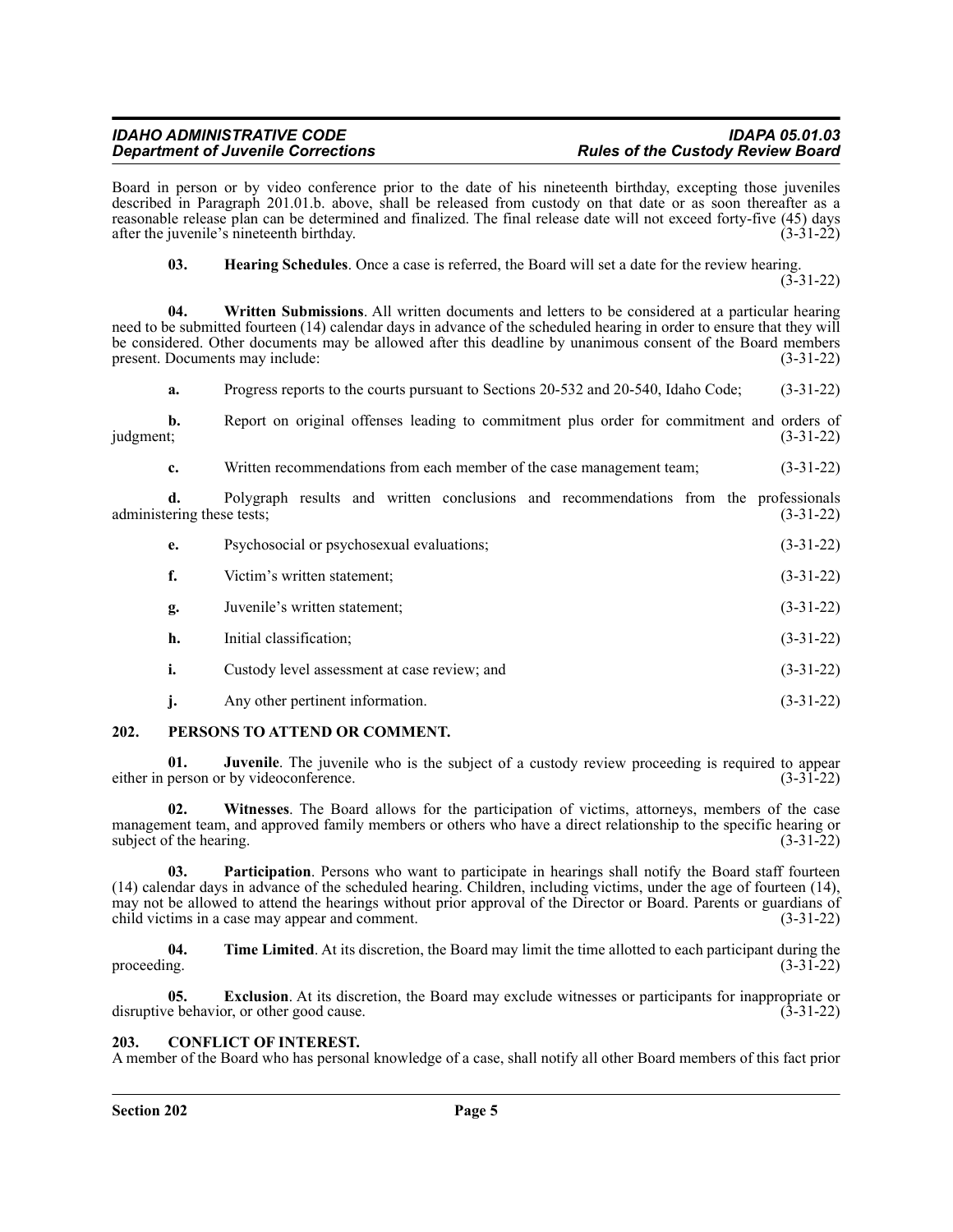Board in person or by video conference prior to the date of his nineteenth birthday, excepting those juveniles described in Paragraph 201.01.b. above, shall be released from custody on that date or as soon thereafter as a reasonable release plan can be determined and finalized. The final release date will not exceed forty-five (45) days after the juvenile's nineteenth birthday. (3-31-22)

**03. Hearing Schedules**. Once a case is referred, the Board will set a date for the review hearing.

(3-31-22)

**04. Written Submissions**. All written documents and letters to be considered at a particular hearing need to be submitted fourteen (14) calendar days in advance of the scheduled hearing in order to ensure that they will be considered. Other documents may be allowed after this deadline by unanimous consent of the Board members present. Documents may include: (3-31-22)

**a.** Progress reports to the courts pursuant to Sections 20-532 and 20-540, Idaho Code;  $(3-31-22)$ 

**b.** Report on original offenses leading to commitment plus order for commitment and orders of judgment; (3-31-22)  $j$ udgment;  $(3-31-22)$ 

**c.** Written recommendations from each member of the case management team; (3-31-22)

**d.** Polygraph results and written conclusions and recommendations from the professionals ering these tests; (3-31-22) administering these tests;

| e. | Psychosocial or psychosexual evaluations;    | $(3-31-22)$ |
|----|----------------------------------------------|-------------|
| f. | Victim's written statement;                  | $(3-31-22)$ |
| g. | Juvenile's written statement;                | $(3-31-22)$ |
| h. | Initial classification;                      | $(3-31-22)$ |
| i. | Custody level assessment at case review; and | $(3-31-22)$ |
|    |                                              |             |

## **j.** Any other pertinent information. (3-31-22)

## <span id="page-4-0"></span>**202. PERSONS TO ATTEND OR COMMENT.**

**01. Juvenile**. The juvenile who is the subject of a custody review proceeding is required to appear either in person or by videoconference. (3-31-22)

**02. Witnesses**. The Board allows for the participation of victims, attorneys, members of the case management team, and approved family members or others who have a direct relationship to the specific hearing or subject of the hearing.  $(3-31-22)$ 

**03. Participation**. Persons who want to participate in hearings shall notify the Board staff fourteen (14) calendar days in advance of the scheduled hearing. Children, including victims, under the age of fourteen (14), may not be allowed to attend the hearings without prior approval of the Director or Board. Parents or guardians of child victims in a case may appear and comment. (3-31-22)

**04.** Time Limited. At its discretion, the Board may limit the time allotted to each participant during the proceeding.  $(3-31-22)$ 

**05. Exclusion**. At its discretion, the Board may exclude witnesses or participants for inappropriate or e behavior, or other good cause. (3-31-22) disruptive behavior, or other good cause.

## <span id="page-4-1"></span>**203. CONFLICT OF INTEREST.**

A member of the Board who has personal knowledge of a case, shall notify all other Board members of this fact prior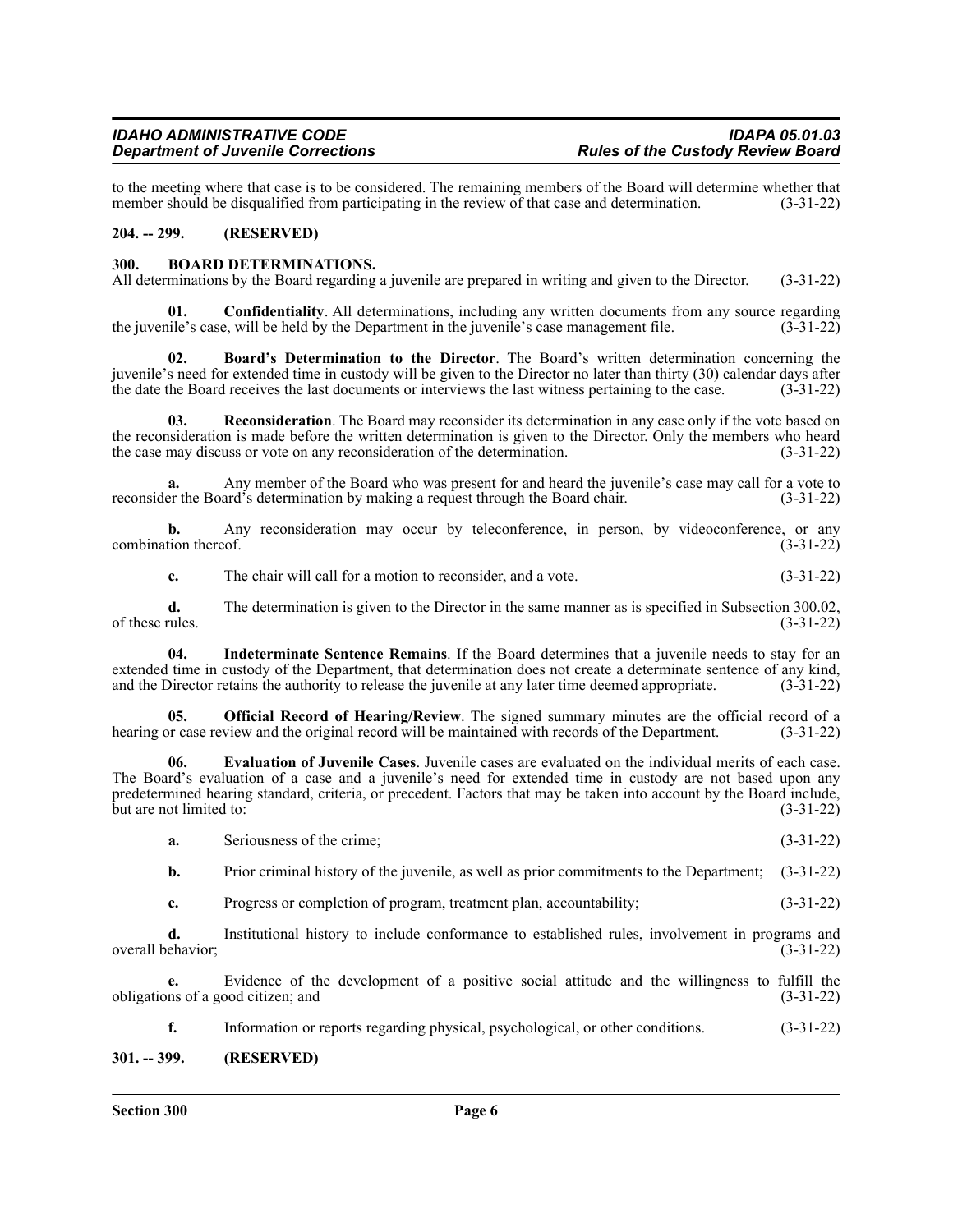to the meeting where that case is to be considered. The remaining members of the Board will determine whether that member should be disqualified from participating in the review of that case and determination. (3-31-22) member should be disqualified from participating in the review of that case and determination.

#### <span id="page-5-0"></span>**204. -- 299. (RESERVED)**

#### <span id="page-5-1"></span>**300. BOARD DETERMINATIONS.**

All determinations by the Board regarding a juvenile are prepared in writing and given to the Director. (3-31-22)

**01. Confidentiality**. All determinations, including any written documents from any source regarding the juvenile's case, will be held by the Department in the juvenile's case management file. (3-31-22)

**02. Board's Determination to the Director**. The Board's written determination concerning the juvenile's need for extended time in custody will be given to the Director no later than thirty (30) calendar days after the date the Board receives the last documents or interviews the last witness pertaining to the case. (3-31-22)

**03. Reconsideration**. The Board may reconsider its determination in any case only if the vote based on the reconsideration is made before the written determination is given to the Director. Only the members who heard the case may discuss or vote on any reconsideration of the determination. (3-31-22)

**a.** Any member of the Board who was present for and heard the juvenile's case may call for a vote to reconsider the Board's determination by making a request through the Board chair. (3-31-22)

**b.** Any reconsideration may occur by teleconference, in person, by videoconference, or any combination thereof. (3-31-22)

**c.** The chair will call for a motion to reconsider, and a vote.  $(3-31-22)$ 

**d.** The determination is given to the Director in the same manner as is specified in Subsection 300.02, rules. (3-31-22) of these rules.

**04. Indeterminate Sentence Remains**. If the Board determines that a juvenile needs to stay for an extended time in custody of the Department, that determination does not create a determinate sentence of any kind, and the Director retains the authority to release the juvenile at any later time deemed appropriate. (3-31-22)

**05. Official Record of Hearing/Review**. The signed summary minutes are the official record of a hearing or case review and the original record will be maintained with records of the Department. (3-31-22)

**06. Evaluation of Juvenile Cases**. Juvenile cases are evaluated on the individual merits of each case. The Board's evaluation of a case and a juvenile's need for extended time in custody are not based upon any predetermined hearing standard, criteria, or precedent. Factors that may be taken into account by the Board include, but are not limited to:  $(3-31-22)$ 

| -а. | Seriousness of the crime: | $1 - 1 - 7$ | (2, 21, 22) |  |
|-----|---------------------------|-------------|-------------|--|
|-----|---------------------------|-------------|-------------|--|

**b.** Prior criminal history of the juvenile, as well as prior commitments to the Department; (3-31-22)

**c.** Progress or completion of program, treatment plan, accountability; (3-31-22)

**d.** Institutional history to include conformance to established rules, involvement in programs and ehavior; (3-31-22) overall behavior;

**e.** Evidence of the development of a positive social attitude and the willingness to fulfill the obligations of a good citizen; and (3-31-22)

**f.** Information or reports regarding physical, psychological, or other conditions. (3-31-22)

#### <span id="page-5-2"></span>**301. -- 399. (RESERVED)**